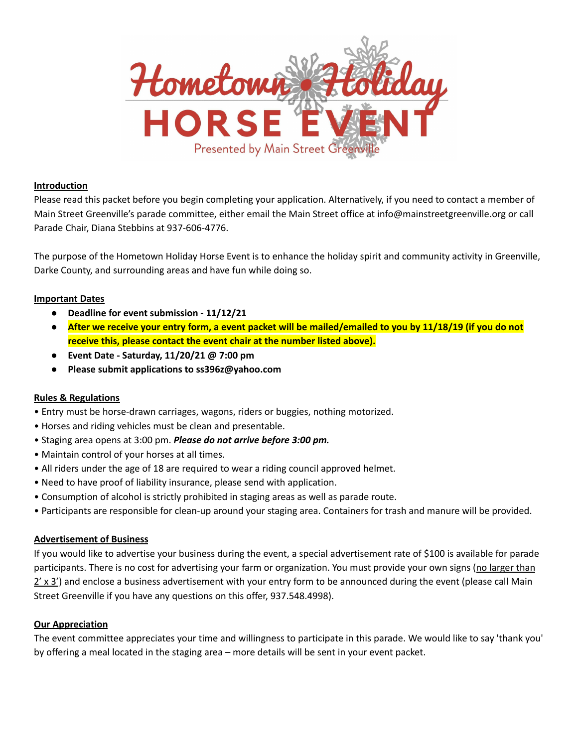

### **Introduction**

Please read this packet before you begin completing your application. Alternatively, if you need to contact a member of Main Street Greenville's parade committee, either email the Main Street office at info@mainstreetgreenville.org or call Parade Chair, Diana Stebbins at 937-606-4776.

The purpose of the Hometown Holiday Horse Event is to enhance the holiday spirit and community activity in Greenville, Darke County, and surrounding areas and have fun while doing so.

#### **Important Dates**

- **Deadline for event submission - 11/12/21**
- After we receive your entry form, a event packet will be mailed/emailed to you by 11/18/19 (if you do not **receive this, please contact the event chair at the number listed above).**
- **Event Date - Saturday, 11/20/21 @ 7:00 pm**
- **Please submit applications to ss396z@yahoo.com**

## **Rules & Regulations**

- Entry must be horse-drawn carriages, wagons, riders or buggies, nothing motorized.
- Horses and riding vehicles must be clean and presentable.
- Staging area opens at 3:00 pm. *Please do not arrive before 3:00 pm.*
- Maintain control of your horses at all times.
- All riders under the age of 18 are required to wear a riding council approved helmet.
- Need to have proof of liability insurance, please send with application.
- Consumption of alcohol is strictly prohibited in staging areas as well as parade route.
- Participants are responsible for clean-up around your staging area. Containers for trash and manure will be provided.

#### **Advertisement of Business**

If you would like to advertise your business during the event, a special advertisement rate of \$100 is available for parade participants. There is no cost for advertising your farm or organization. You must provide your own signs (no larger than 2' x 3') and enclose a business advertisement with your entry form to be announced during the event (please call Main Street Greenville if you have any questions on this offer, 937.548.4998).

#### **Our Appreciation**

The event committee appreciates your time and willingness to participate in this parade. We would like to say 'thank you' by offering a meal located in the staging area – more details will be sent in your event packet.